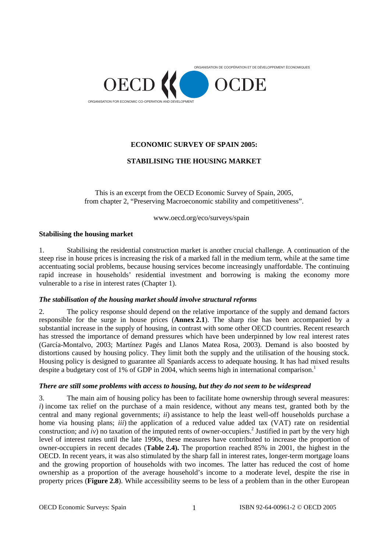

# **ECONOMIC SURVEY OF SPAIN 2005:**

# **STABILISING THE HOUSING MARKET**

This is an excerpt from the OECD Economic Survey of Spain, 2005, from chapter 2, "Preserving Macroeconomic stability and competitiveness".

www.oecd.org/eco/surveys/spain

## **Stabilising the housing market**

1. Stabilising the residential construction market is another crucial challenge. A continuation of the steep rise in house prices is increasing the risk of a marked fall in the medium term, while at the same time accentuating social problems, because housing services become increasingly unaffordable. The continuing rapid increase in households' residential investment and borrowing is making the economy more vulnerable to a rise in interest rates (Chapter 1).

### *The stabilisation of the housing market should involve structural reforms*

2. The policy response should depend on the relative importance of the supply and demand factors responsible for the surge in house prices (**Annex 2.1**). The sharp rise has been accompanied by a substantial increase in the supply of housing, in contrast with some other OECD countries. Recent research has stressed the importance of demand pressures which have been underpinned by low real interest rates (García-Montalvo, 2003; Martínez Pagés and Llanos Matea Rosa, 2003). Demand is also boosted by distortions caused by housing policy. They limit both the supply and the utilisation of the housing stock. Housing policy is designed to guarantee all Spaniards access to adequate housing. It has had mixed results despite a budgetary cost of 1% of GDP in 2004, which seems high in international comparison.<sup>1</sup>

### *There are still some problems with access to housing, but they do not seem to be widespread*

3. The main aim of housing policy has been to facilitate home ownership through several measures: *i*) income tax relief on the purchase of a main residence, without any means test, granted both by the central and many regional governments; *ii*) assistance to help the least well-off households purchase a home via housing plans; *iii*) the application of a reduced value added tax (VAT) rate on residential construction; and  $iv$ ) no taxation of the imputed rents of owner-occupiers.<sup>2</sup> Justified in part by the very high level of interest rates until the late 1990s, these measures have contributed to increase the proportion of owner-occupiers in recent decades (**Table 2.4).** The proportion reached 85% in 2001, the highest in the OECD. In recent years, it was also stimulated by the sharp fall in interest rates, longer-term mortgage loans and the growing proportion of households with two incomes. The latter has reduced the cost of home ownership as a proportion of the average household's income to a moderate level, despite the rise in property prices (**Figure 2.8**). While accessibility seems to be less of a problem than in the other European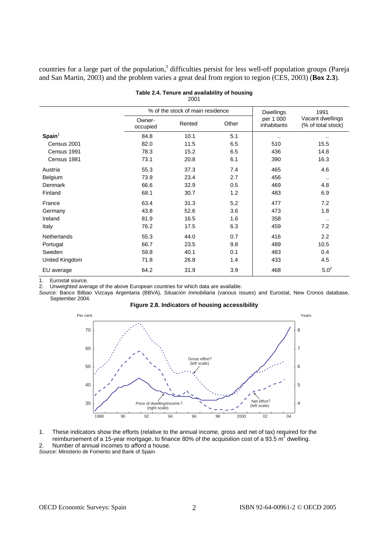countries for a large part of the population,<sup>3</sup> difficulties persist for less well-off population groups (Pareja and San Martin, 2003) and the problem varies a great deal from region to region (CES, 2003) (**Box 2.3**).

|                   | % of the stock of main residence |        |       | <b>Dwellings</b>         | 1991                                   |
|-------------------|----------------------------------|--------|-------|--------------------------|----------------------------------------|
|                   | Owner-<br>occupied               | Rented | Other | per 1 000<br>inhabitants | Vacant dwellings<br>(% of total stock) |
| Spin <sup>1</sup> | 84.8                             | 10.1   | 5.1   |                          |                                        |
| Census 2001       | 82.0                             | 11.5   | 6.5   | 510                      | 15.5                                   |
| Census 1991       | 78.3                             | 15.2   | 6.5   | 436                      | 14.8                                   |
| Census 1981       | 73.1                             | 20.8   | 6.1   | 390                      | 16.3                                   |
| Austria           | 55.3                             | 37.3   | 7.4   | 465                      | 4.6                                    |
| Belgium           | 73.9                             | 23.4   | 2.7   | 456                      | $\cdot$ .                              |
| <b>Denmark</b>    | 66.6                             | 32.9   | 0.5   | 469                      | 4.8                                    |
| Finland           | 68.1                             | 30.7   | 1.2   | 483                      | 6.9                                    |
| France            | 63.4                             | 31.3   | 5.2   | 477                      | 7.2                                    |
| Germany           | 43.8                             | 52.6   | 3.6   | 473                      | 1.8                                    |
| Ireland           | 81.9                             | 16.5   | 1.6   | 358                      | $\cdots$                               |
| Italy             | 76.2                             | 17.5   | 6.3   | 459                      | 7.2                                    |
| Netherlands       | 55.3                             | 44.0   | 0.7   | 416                      | 2.2                                    |
| Portugal          | 66.7                             | 23.5   | 9.8   | 489                      | 10.5                                   |
| Sweden            | 59.8                             | 40.1   | 0.1   | 483                      | 0.4                                    |
| United Kingdom    | 71.8                             | 26.8   | 1.4   | 433                      | 4.5                                    |
| EU average        | 64.2                             | 31.9   | 3.9   | 468                      | $5.0^2$                                |
|                   |                                  |        |       |                          |                                        |

### **Table 2.4. Tenure and availability of housing**  2001

1. Eurostat source.

2. Unweighted average of the above European countries for which data are available.

Source: Banco Bilbao Vizcaya Argentaria (BBVA), Situación Inmobiliaria (various issues) and Eurostat, New Cronos database, September 2004.



**Figure 2.8. Indicators of housing accessibility** 

1. These indicators show the efforts (relative to the annual income, gross and net of tax) required for the reimbursement of a 15-year mortgage, to finance 80% of the acquisition cost of a 93.5  $m^2$  dwelling.

2. Number of annual incomes to afford a house. Source: Ministerio de Fomento and Bank of Spain.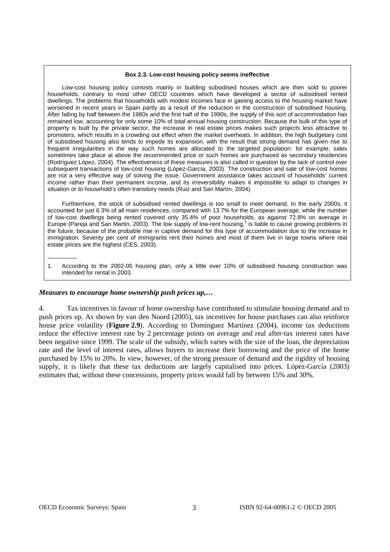#### **Box 2.3. Low-cost housing policy seems ineffective**

Low-cost housing policy consists mainly in building subsidised houses which are then sold to poorer households, contrary to most other OECD countries which have developed a sector of subsidised rented dwellings. The problems that households with modest incomes face in gaining access to the housing market have worsened in recent years in Spain partly as a result of the reduction in the construction of subsidised housing. After falling by half between the 1980s and the first half of the 1990s, the supply of this sort of accommodation has remained low, accounting for only some 10% of total annual housing construction. Because the bulk of this type of property is built by the private sector, the increase in real estate prices makes such projects less attractive to promoters, which results in a crowding out effect when the market overheats. In addition, the high budgetary cost of subsidised housing also tends to impede its expansion, with the result that strong demand has given rise to frequent irregularities in the way such homes are allocated to the targeted population: for example, sales sometimes take place at above the recommended price or such homes are purchased as secondary residences (Rodríguez López, 2004). The effectiveness of these measures is also called in question by the lack of control over subsequent transactions of low-cost housing (López-García, 2003). The construction and sale of low-cost homes are not a very effective way of solving the issue. Government assistance takes account of households' current income rather than their permanent income, and its irreversibility makes it impossible to adapt to changes in situation or to household's often transitory needs (Ruiz and San Martín, 2004).

Furthermore, the stock of subsidised rented dwellings is too small to meet demand. In the early 2000s, it accounted for just 6.3% of all main residences, compared with 13.7% for the European average, while the number of low-cost dwellings being rented covered only 35.4% of poor households, as against 72.8% on average in Europe (Pareja and San Martin, 2003). The low supply of low-rent housing,<sup>1</sup> is liable to cause growing problems in the future, because of the probable rise in captive demand for this type of accommodation due to the increase in immigration. Seventy per cent of immigrants rent their homes and most of them live in large towns where real estate prices are the highest (CES, 2003).

1. According to the 2002-05 housing plan, only a little over 10% of subsidised housing construction was intended for rental in 2003.

### *Measures to encourage home ownership push prices up,…*

4. Tax incentives in favour of home ownership have contributed to stimulate housing demand and to push prices up. As shown by van den Noord (2005), tax incentives for house purchases can also reinforce house price volatility (**Figure 2.9**). According to Domínguez Martínez (2004), income tax deductions reduce the effective interest rate by 2 percentage points on average and real after-tax interest rates have been negative since 1999. The scale of the subsidy, which varies with the size of the loan, the depreciation rate and the level of interest rates, allows buyers to increase their borrowing and the price of the home purchased by 15% to 20%. In view, however, of the strong pressure of demand and the rigidity of housing supply, it is likely that these tax deductions are largely capitalised into prices. López-García (2003) estimates that, without these concessions, property prices would fall by between 15% and 30%.

\_\_\_\_\_\_\_\_\_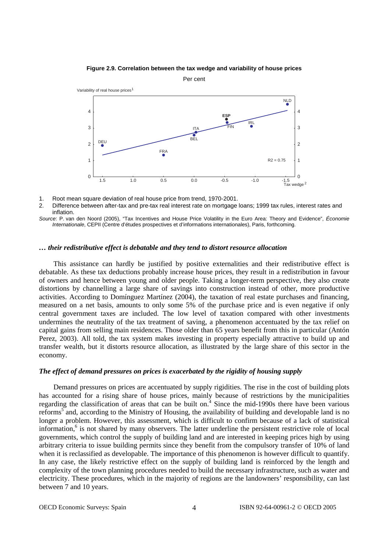#### **Figure 2.9. Correlation between the tax wedge and variability of house prices**

Per cent



- 1. Root mean square deviation of real house price from trend, 1970-2001.
- 2. Difference between after-tax and pre-tax real interest rate on mortgage loans; 1999 tax rules, interest rates and inflation.

Source: P. van den Noord (2005), "Tax Incentives and House Price Volatility in the Euro Area: Theory and Evidence", Économie Internationale, CEPII (Centre d'études prospectives et d'informations internationales), Paris, forthcoming.

### *… their redistributive effect is debatable and they tend to distort resource allocation*

This assistance can hardly be justified by positive externalities and their redistributive effect is debatable. As these tax deductions probably increase house prices, they result in a redistribution in favour of owners and hence between young and older people. Taking a longer-term perspective, they also create distortions by channelling a large share of savings into construction instead of other, more productive activities. According to Domínguez Martínez (2004), the taxation of real estate purchases and financing, measured on a net basis, amounts to only some 5% of the purchase price and is even negative if only central government taxes are included. The low level of taxation compared with other investments undermines the neutrality of the tax treatment of saving, a phenomenon accentuated by the tax relief on capital gains from selling main residences. Those older than 65 years benefit from this in particular (Antón Perez, 2003). All told, the tax system makes investing in property especially attractive to build up and transfer wealth, but it distorts resource allocation, as illustrated by the large share of this sector in the economy.

## *The effect of demand pressures on prices is exacerbated by the rigidity of housing supply*

Demand pressures on prices are accentuated by supply rigidities. The rise in the cost of building plots has accounted for a rising share of house prices, mainly because of restrictions by the municipalities regarding the classification of areas that can be built on.<sup> $4$ </sup> Since the mid-1990s there have been various reforms<sup>5</sup> and, according to the Ministry of Housing, the availability of building and developable land is no longer a problem. However, this assessment, which is difficult to confirm because of a lack of statistical information,<sup>6</sup> is not shared by many observers. The latter underline the persistent restrictive role of local governments, which control the supply of building land and are interested in keeping prices high by using arbitrary criteria to issue building permits since they benefit from the compulsory transfer of 10% of land when it is reclassified as developable. The importance of this phenomenon is however difficult to quantify. In any case, the likely restrictive effect on the supply of building land is reinforced by the length and complexity of the town planning procedures needed to build the necessary infrastructure, such as water and electricity. These procedures, which in the majority of regions are the landowners' responsibility, can last between 7 and 10 years.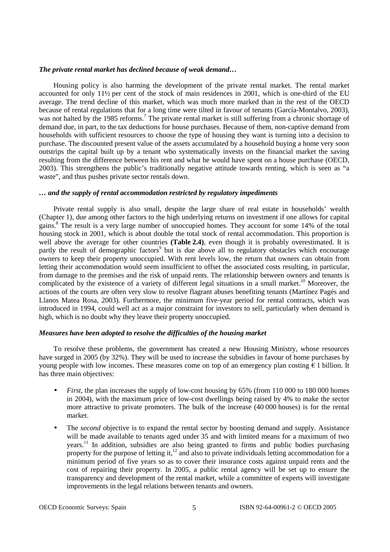## *The private rental market has declined because of weak demand…*

Housing policy is also harming the development of the private rental market. The rental market accounted for only 11½ per cent of the stock of main residences in 2001, which is one-third of the EU average. The trend decline of this market, which was much more marked than in the rest of the OECD because of rental regulations that for a long time were tilted in favour of tenants (García-Montalvo, 2003), was not halted by the 1985 reforms.<sup>7</sup> The private rental market is still suffering from a chronic shortage of demand due, in part, to the tax deductions for house purchases. Because of them, non-captive demand from households with sufficient resources to choose the type of housing they want is turning into a decision to purchase. The discounted present value of the assets accumulated by a household buying a home very soon outstrips the capital built up by a tenant who systematically invests on the financial market the saving resulting from the difference between his rent and what he would have spent on a house purchase (OECD, 2003). This strengthens the public's traditionally negative attitude towards renting, which is seen as "a waste", and thus pushes private sector rentals down.

## *… and the supply of rental accommodation restricted by regulatory impediments*

Private rental supply is also small, despite the large share of real estate in households' wealth (Chapter 1), due among other factors to the high underlying returns on investment if one allows for capital gains.<sup>8</sup> The result is a very large number of unoccupied homes. They account for some 14% of the total housing stock in 2001, which is about double the total stock of rental accommodation. This proportion is well above the average for other countries **(Table 2.4)**, even though it is probably overestimated. It is partly the result of demographic factors<sup>9</sup> but is due above all to regulatory obstacles which encourage owners to keep their property unoccupied. With rent levels low, the return that owners can obtain from letting their accommodation would seem insufficient to offset the associated costs resulting, in particular, from damage to the premises and the risk of unpaid rents. The relationship between owners and tenants is complicated by the existence of a variety of different legal situations in a small market.<sup>10</sup> Moreover, the actions of the courts are often very slow to resolve flagrant abuses benefiting tenants (Martínez Pagés and Llanos Matea Rosa, 2003). Furthermore, the minimum five-year period for rental contracts, which was introduced in 1994, could well act as a major constraint for investors to sell, particularly when demand is high, which is no doubt why they leave their property unoccupied.

## *Measures have been adopted to resolve the difficulties of the housing market*

To resolve these problems, the government has created a new Housing Ministry, whose resources have surged in 2005 (by 32%). They will be used to increase the subsidies in favour of home purchases by young people with low incomes. These measures come on top of an emergency plan costing  $\epsilon$  1 billion. It has three main objectives:

- *First*, the plan increases the supply of low-cost housing by 65% (from 110 000 to 180 000 homes in 2004), with the maximum price of low-cost dwellings being raised by 4% to make the sector more attractive to private promoters. The bulk of the increase (40 000 houses) is for the rental market.
- The *second* objective is to expand the rental sector by boosting demand and supply. Assistance will be made available to tenants aged under 35 and with limited means for a maximum of two years.11 In addition, subsidies are also being granted to firms and public bodies purchasing property for the purpose of letting it,<sup>12</sup> and also to private individuals letting accommodation for a minimum period of five years so as to cover their insurance costs against unpaid rents and the cost of repairing their property. In 2005, a public rental agency will be set up to ensure the transparency and development of the rental market, while a committee of experts will investigate improvements in the legal relations between tenants and owners.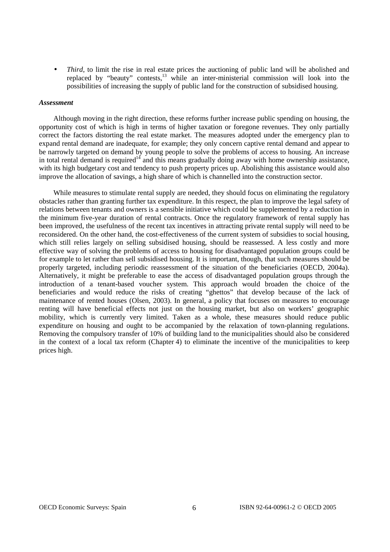• *Third*, to limit the rise in real estate prices the auctioning of public land will be abolished and replaced by "beauty" contests,<sup>13</sup> while an inter-ministerial commission will look into the possibilities of increasing the supply of public land for the construction of subsidised housing.

#### *Assessment*

Although moving in the right direction, these reforms further increase public spending on housing, the opportunity cost of which is high in terms of higher taxation or foregone revenues. They only partially correct the factors distorting the real estate market. The measures adopted under the emergency plan to expand rental demand are inadequate, for example; they only concern captive rental demand and appear to be narrowly targeted on demand by young people to solve the problems of access to housing. An increase in total rental demand is required<sup> $14$ </sup> and this means gradually doing away with home ownership assistance, with its high budgetary cost and tendency to push property prices up. Abolishing this assistance would also improve the allocation of savings, a high share of which is channelled into the construction sector.

While measures to stimulate rental supply are needed, they should focus on eliminating the regulatory obstacles rather than granting further tax expenditure. In this respect, the plan to improve the legal safety of relations between tenants and owners is a sensible initiative which could be supplemented by a reduction in the minimum five-year duration of rental contracts. Once the regulatory framework of rental supply has been improved, the usefulness of the recent tax incentives in attracting private rental supply will need to be reconsidered. On the other hand, the cost-effectiveness of the current system of subsidies to social housing, which still relies largely on selling subsidised housing, should be reassessed. A less costly and more effective way of solving the problems of access to housing for disadvantaged population groups could be for example to let rather than sell subsidised housing. It is important, though, that such measures should be properly targeted, including periodic reassessment of the situation of the beneficiaries (OECD, 2004a). Alternatively, it might be preferable to ease the access of disadvantaged population groups through the introduction of a tenant-based voucher system. This approach would broaden the choice of the beneficiaries and would reduce the risks of creating "ghettos" that develop because of the lack of maintenance of rented houses (Olsen, 2003). In general, a policy that focuses on measures to encourage renting will have beneficial effects not just on the housing market, but also on workers' geographic mobility, which is currently very limited. Taken as a whole, these measures should reduce public expenditure on housing and ought to be accompanied by the relaxation of town-planning regulations. Removing the compulsory transfer of 10% of building land to the municipalities should also be considered in the context of a local tax reform (Chapter 4) to eliminate the incentive of the municipalities to keep prices high.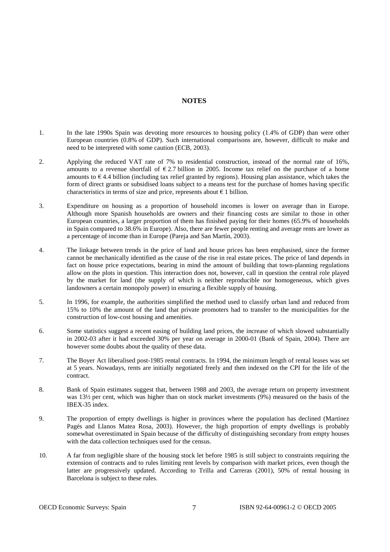### **NOTES**

- 1. In the late 1990s Spain was devoting more resources to housing policy (1.4% of GDP) than were other European countries (0.8% of GDP). Such international comparisons are, however, difficult to make and need to be interpreted with some caution (ECB, 2003).
- 2. Applying the reduced VAT rate of 7% to residential construction, instead of the normal rate of 16%, amounts to a revenue shortfall of  $\epsilon$  2.7 billion in 2005. Income tax relief on the purchase of a home amounts to  $\epsilon$  4.4 billion (including tax relief granted by regions). Housing plan assistance, which takes the form of direct grants or subsidised loans subject to a means test for the purchase of homes having specific characteristics in terms of size and price, represents about  $\epsilon$  1 billion.
- 3. Expenditure on housing as a proportion of household incomes is lower on average than in Europe. Although more Spanish households are owners and their financing costs are similar to those in other European countries, a larger proportion of them has finished paying for their homes (65.9% of households in Spain compared to 38.6% in Europe). Also, there are fewer people renting and average rents are lower as a percentage of income than in Europe (Pareja and San Martín, 2003).
- 4. The linkage between trends in the price of land and house prices has been emphasised, since the former cannot be mechanically identified as the cause of the rise in real estate prices. The price of land depends in fact on house price expectations, bearing in mind the amount of building that town-planning regulations allow on the plots in question. This interaction does not, however, call in question the central role played by the market for land (the supply of which is neither reproducible nor homogeneous, which gives landowners a certain monopoly power) in ensuring a flexible supply of housing.
- 5. In 1996, for example, the authorities simplified the method used to classify urban land and reduced from 15% to 10% the amount of the land that private promoters had to transfer to the municipalities for the construction of low-cost housing and amenities.
- 6. Some statistics suggest a recent easing of building land prices, the increase of which slowed substantially in 2002-03 after it had exceeded 30% per year on average in 2000-01 (Bank of Spain, 2004). There are however some doubts about the quality of these data.
- 7. The Boyer Act liberalised post-1985 rental contracts. In 1994, the minimum length of rental leases was set at 5 years. Nowadays, rents are initially negotiated freely and then indexed on the CPI for the life of the contract.
- 8. Bank of Spain estimates suggest that, between 1988 and 2003, the average return on property investment was 13½ per cent, which was higher than on stock market investments (9%) measured on the basis of the IBEX-35 index.
- 9. The proportion of empty dwellings is higher in provinces where the population has declined (Martínez Pagés and Llanos Matea Rosa, 2003). However, the high proportion of empty dwellings is probably somewhat overestimated in Spain because of the difficulty of distinguishing secondary from empty houses with the data collection techniques used for the census.
- 10. A far from negligible share of the housing stock let before 1985 is still subject to constraints requiring the extension of contracts and to rules limiting rent levels by comparison with market prices, even though the latter are progressively updated. According to Trilla and Carreras (2001), 50% of rental housing in Barcelona is subject to these rules.